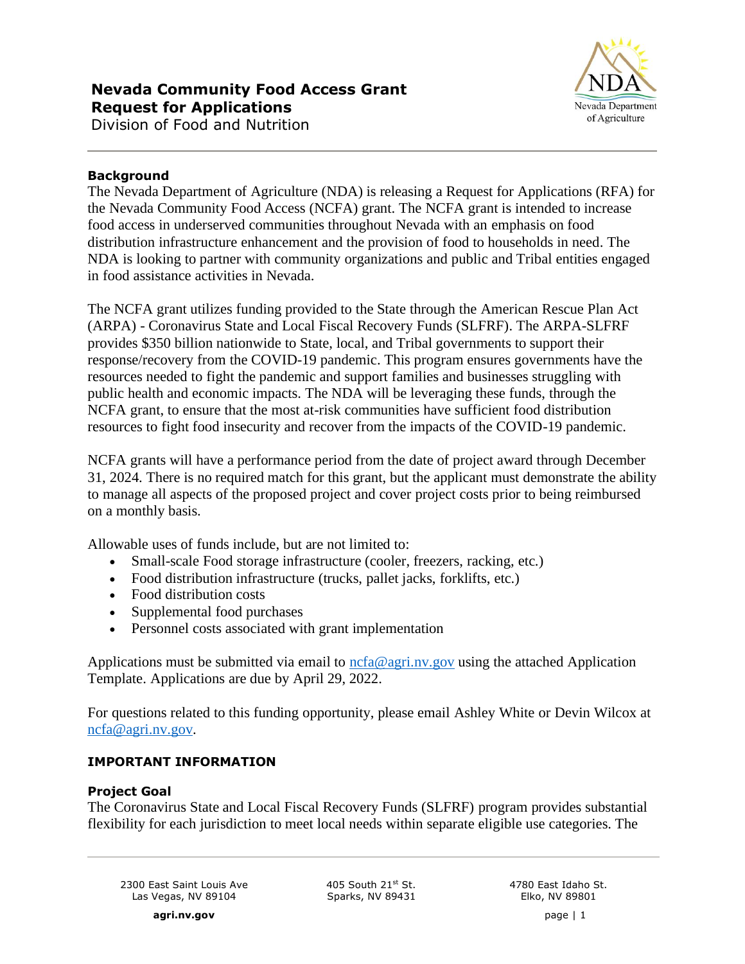

# **Background**

The Nevada Department of Agriculture (NDA) is releasing a Request for Applications (RFA) for the Nevada Community Food Access (NCFA) grant. The NCFA grant is intended to increase food access in underserved communities throughout Nevada with an emphasis on food distribution infrastructure enhancement and the provision of food to households in need. The NDA is looking to partner with community organizations and public and Tribal entities engaged in food assistance activities in Nevada.

The NCFA grant utilizes funding provided to the State through the American Rescue Plan Act (ARPA) - Coronavirus State and Local Fiscal Recovery Funds (SLFRF). The ARPA-SLFRF provides \$350 billion nationwide to State, local, and Tribal governments to support their response/recovery from the COVID-19 pandemic. This program ensures governments have the resources needed to fight the pandemic and support families and businesses struggling with public health and economic impacts. The NDA will be leveraging these funds, through the NCFA grant, to ensure that the most at-risk communities have sufficient food distribution resources to fight food insecurity and recover from the impacts of the COVID-19 pandemic.

NCFA grants will have a performance period from the date of project award through December 31, 2024. There is no required match for this grant, but the applicant must demonstrate the ability to manage all aspects of the proposed project and cover project costs prior to being reimbursed on a monthly basis.

Allowable uses of funds include, but are not limited to:

- Small-scale Food storage infrastructure (cooler, freezers, racking, etc.)
- Food distribution infrastructure (trucks, pallet jacks, forklifts, etc.)
- Food distribution costs
- Supplemental food purchases
- Personnel costs associated with grant implementation

Applications must be submitted via email to [ncfa@agri.nv.gov](mailto:ncfa@agri.nv.gov) using the attached Application Template. Applications are due by April 29, 2022.

For questions related to this funding opportunity, please email Ashley White or Devin Wilcox at ncfa@agri.nv.gov.

### **IMPORTANT INFORMATION**

#### **Project Goal**

The Coronavirus State and Local Fiscal Recovery Funds (SLFRF) program provides substantial flexibility for each jurisdiction to meet local needs within separate eligible use categories. The

2300 East Saint Louis Ave Las Vegas, NV 89104

405 South  $21^{st}$  St. Sparks, NV 89431 4780 East Idaho St. Elko, NV 89801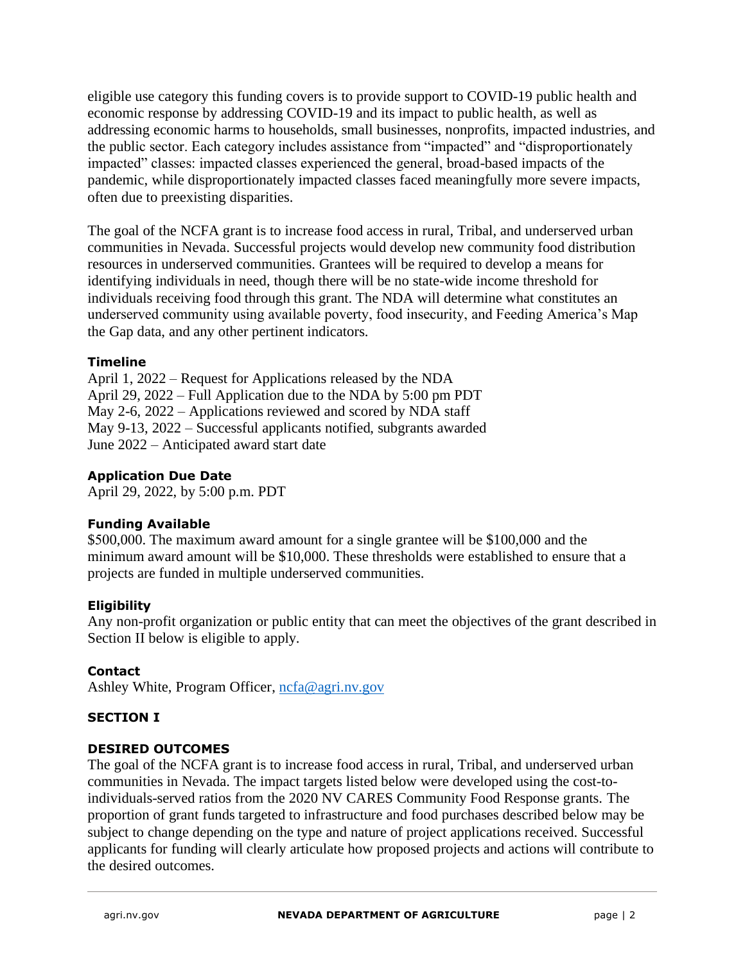eligible use category this funding covers is to provide support to COVID-19 public health and economic response by addressing COVID-19 and its impact to public health, as well as addressing economic harms to households, small businesses, nonprofits, impacted industries, and the public sector. Each category includes assistance from "impacted" and "disproportionately impacted" classes: impacted classes experienced the general, broad-based impacts of the pandemic, while disproportionately impacted classes faced meaningfully more severe impacts, often due to preexisting disparities.

The goal of the NCFA grant is to increase food access in rural, Tribal, and underserved urban communities in Nevada. Successful projects would develop new community food distribution resources in underserved communities. Grantees will be required to develop a means for identifying individuals in need, though there will be no state-wide income threshold for individuals receiving food through this grant. The NDA will determine what constitutes an underserved community using available poverty, food insecurity, and Feeding America's Map the Gap data, and any other pertinent indicators.

### **Timeline**

April 1, 2022 – Request for Applications released by the NDA April 29, 2022 – Full Application due to the NDA by 5:00 pm PDT May 2-6, 2022 – Applications reviewed and scored by NDA staff May 9-13, 2022 – Successful applicants notified, subgrants awarded June 2022 – Anticipated award start date

# **Application Due Date**

April 29, 2022, by 5:00 p.m. PDT

### **Funding Available**

\$500,000. The maximum award amount for a single grantee will be \$100,000 and the minimum award amount will be \$10,000. These thresholds were established to ensure that a projects are funded in multiple underserved communities.

### **Eligibility**

Any non-profit organization or public entity that can meet the objectives of the grant described in Section II below is eligible to apply.

### **Contact**

Ashley White, Program Officer, [ncfa@agri.nv.gov](mailto:ncfa@agri.nv.gov)

### **SECTION I**

### **DESIRED OUTCOMES**

The goal of the NCFA grant is to increase food access in rural, Tribal, and underserved urban communities in Nevada. The impact targets listed below were developed using the cost-toindividuals-served ratios from the 2020 NV CARES Community Food Response grants. The proportion of grant funds targeted to infrastructure and food purchases described below may be subject to change depending on the type and nature of project applications received. Successful applicants for funding will clearly articulate how proposed projects and actions will contribute to the desired outcomes.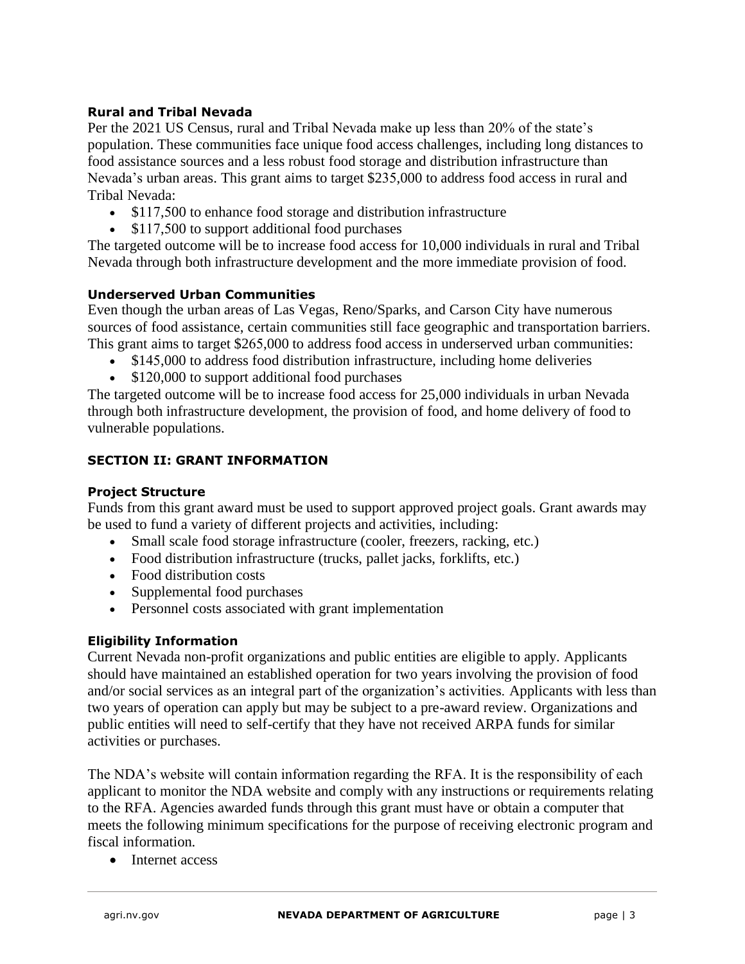### **Rural and Tribal Nevada**

Per the 2021 US Census, rural and Tribal Nevada make up less than 20% of the state's population. These communities face unique food access challenges, including long distances to food assistance sources and a less robust food storage and distribution infrastructure than Nevada's urban areas. This grant aims to target \$235,000 to address food access in rural and Tribal Nevada:

- \$117,500 to enhance food storage and distribution infrastructure
- \$117,500 to support additional food purchases

The targeted outcome will be to increase food access for 10,000 individuals in rural and Tribal Nevada through both infrastructure development and the more immediate provision of food.

# **Underserved Urban Communities**

Even though the urban areas of Las Vegas, Reno/Sparks, and Carson City have numerous sources of food assistance, certain communities still face geographic and transportation barriers. This grant aims to target \$265,000 to address food access in underserved urban communities:

- \$145,000 to address food distribution infrastructure, including home deliveries
- \$120,000 to support additional food purchases

The targeted outcome will be to increase food access for 25,000 individuals in urban Nevada through both infrastructure development, the provision of food, and home delivery of food to vulnerable populations.

### **SECTION II: GRANT INFORMATION**

### **Project Structure**

Funds from this grant award must be used to support approved project goals. Grant awards may be used to fund a variety of different projects and activities, including:

- Small scale food storage infrastructure (cooler, freezers, racking, etc.)
- Food distribution infrastructure (trucks, pallet jacks, forklifts, etc.)
- Food distribution costs
- Supplemental food purchases
- Personnel costs associated with grant implementation

### **Eligibility Information**

Current Nevada non-profit organizations and public entities are eligible to apply. Applicants should have maintained an established operation for two years involving the provision of food and/or social services as an integral part of the organization's activities. Applicants with less than two years of operation can apply but may be subject to a pre-award review. Organizations and public entities will need to self-certify that they have not received ARPA funds for similar activities or purchases.

The NDA's website will contain information regarding the RFA. It is the responsibility of each applicant to monitor the NDA website and comply with any instructions or requirements relating to the RFA. Agencies awarded funds through this grant must have or obtain a computer that meets the following minimum specifications for the purpose of receiving electronic program and fiscal information.

• Internet access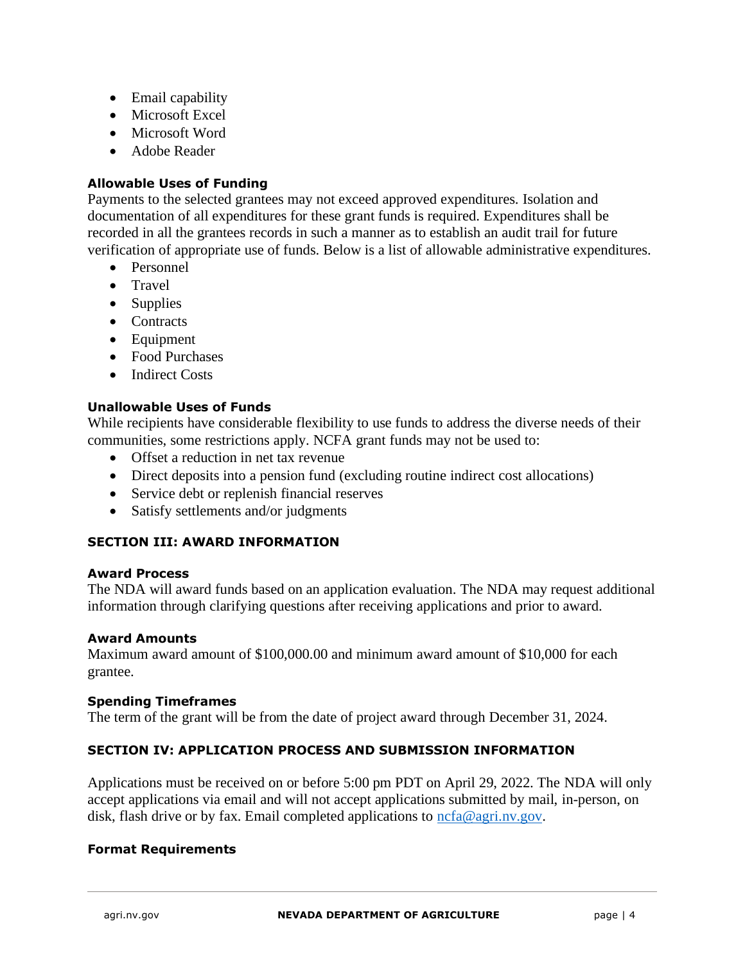- Email capability
- Microsoft Excel
- Microsoft Word
- Adobe Reader

### **Allowable Uses of Funding**

Payments to the selected grantees may not exceed approved expenditures. Isolation and documentation of all expenditures for these grant funds is required. Expenditures shall be recorded in all the grantees records in such a manner as to establish an audit trail for future verification of appropriate use of funds. Below is a list of allowable administrative expenditures.

- Personnel
- Travel
- Supplies
- Contracts
- Equipment
- Food Purchases
- Indirect Costs

### **Unallowable Uses of Funds**

While recipients have considerable flexibility to use funds to address the diverse needs of their communities, some restrictions apply. NCFA grant funds may not be used to:

- Offset a reduction in net tax revenue
- Direct deposits into a pension fund (excluding routine indirect cost allocations)
- Service debt or replenish financial reserves
- Satisfy settlements and/or judgments

### **SECTION III: AWARD INFORMATION**

#### **Award Process**

The NDA will award funds based on an application evaluation. The NDA may request additional information through clarifying questions after receiving applications and prior to award.

#### **Award Amounts**

Maximum award amount of \$100,000.00 and minimum award amount of \$10,000 for each grantee.

#### **Spending Timeframes**

The term of the grant will be from the date of project award through December 31, 2024.

### **SECTION IV: APPLICATION PROCESS AND SUBMISSION INFORMATION**

Applications must be received on or before 5:00 pm PDT on April 29, 2022. The NDA will only accept applications via email and will not accept applications submitted by mail, in-person, on disk, flash drive or by fax. Email completed applications to [ncfa@agri.nv.gov.](mailto:ncfa@agri.nv.gov)

#### **Format Requirements**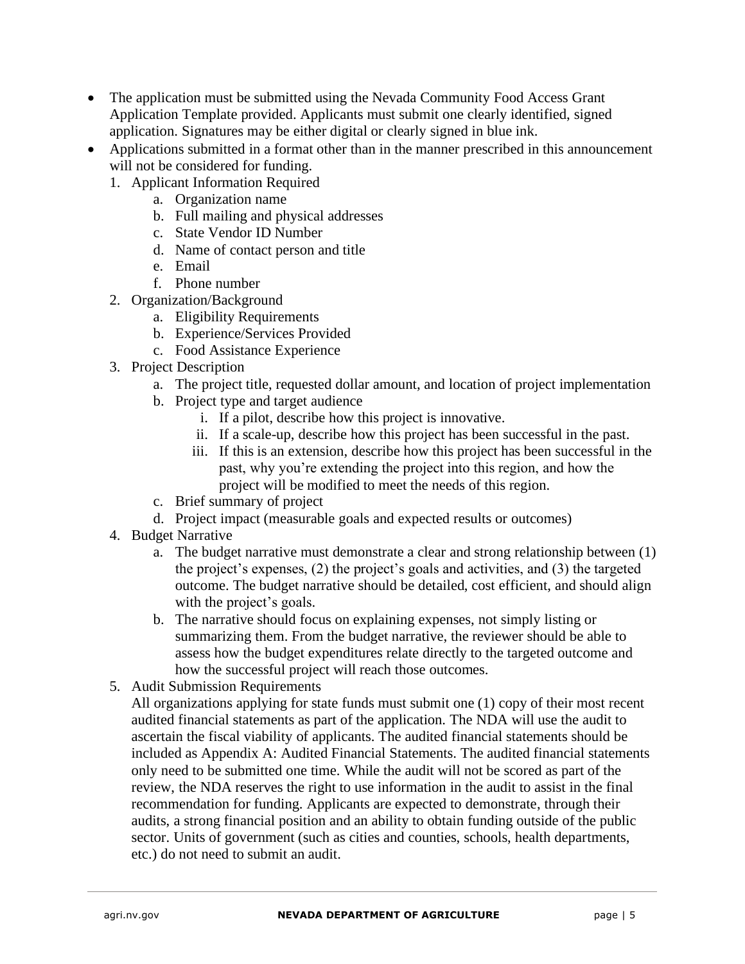- The application must be submitted using the Nevada Community Food Access Grant Application Template provided. Applicants must submit one clearly identified, signed application. Signatures may be either digital or clearly signed in blue ink.
- Applications submitted in a format other than in the manner prescribed in this announcement will not be considered for funding.
	- 1. Applicant Information Required
		- a. Organization name
		- b. Full mailing and physical addresses
		- c. State Vendor ID Number
		- d. Name of contact person and title
		- e. Email
		- f. Phone number
	- 2. Organization/Background
		- a. Eligibility Requirements
		- b. Experience/Services Provided
		- c. Food Assistance Experience
	- 3. Project Description
		- a. The project title, requested dollar amount, and location of project implementation
		- b. Project type and target audience
			- i. If a pilot, describe how this project is innovative.
			- ii. If a scale-up, describe how this project has been successful in the past.
			- iii. If this is an extension, describe how this project has been successful in the past, why you're extending the project into this region, and how the project will be modified to meet the needs of this region.
		- c. Brief summary of project
		- d. Project impact (measurable goals and expected results or outcomes)
	- 4. Budget Narrative
		- a. The budget narrative must demonstrate a clear and strong relationship between (1) the project's expenses, (2) the project's goals and activities, and (3) the targeted outcome. The budget narrative should be detailed, cost efficient, and should align with the project's goals.
		- b. The narrative should focus on explaining expenses, not simply listing or summarizing them. From the budget narrative, the reviewer should be able to assess how the budget expenditures relate directly to the targeted outcome and how the successful project will reach those outcomes.
	- 5. Audit Submission Requirements

All organizations applying for state funds must submit one (1) copy of their most recent audited financial statements as part of the application. The NDA will use the audit to ascertain the fiscal viability of applicants. The audited financial statements should be included as Appendix A: Audited Financial Statements. The audited financial statements only need to be submitted one time. While the audit will not be scored as part of the review, the NDA reserves the right to use information in the audit to assist in the final recommendation for funding. Applicants are expected to demonstrate, through their audits, a strong financial position and an ability to obtain funding outside of the public sector. Units of government (such as cities and counties, schools, health departments, etc.) do not need to submit an audit.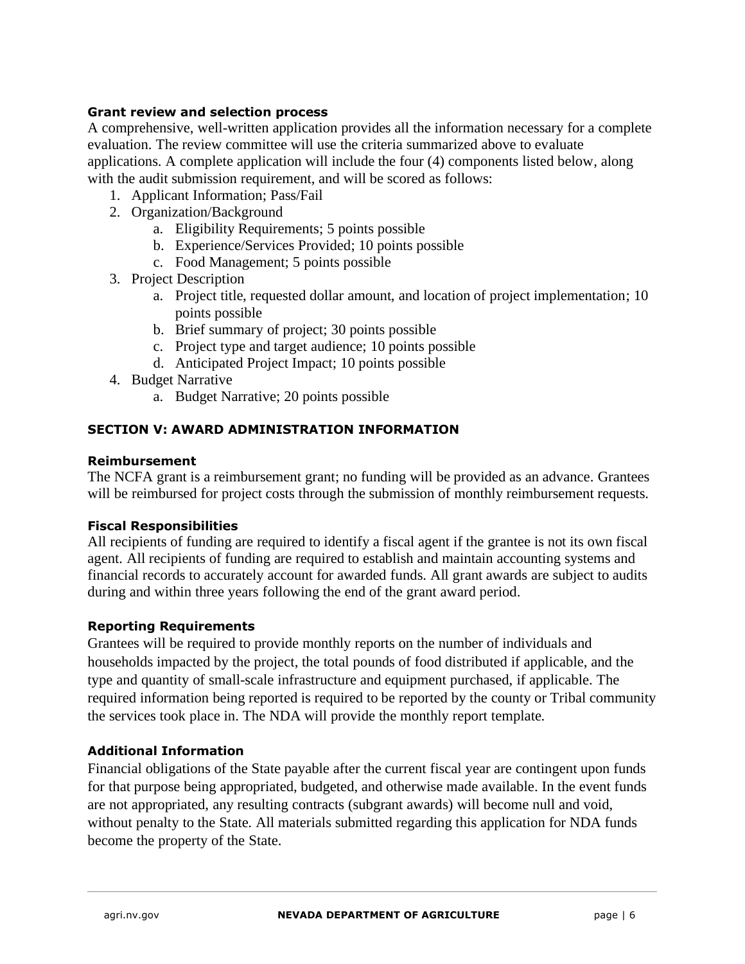### **Grant review and selection process**

A comprehensive, well-written application provides all the information necessary for a complete evaluation. The review committee will use the criteria summarized above to evaluate applications. A complete application will include the four (4) components listed below, along with the audit submission requirement, and will be scored as follows:

- 1. Applicant Information; Pass/Fail
- 2. Organization/Background
	- a. Eligibility Requirements; 5 points possible
	- b. Experience/Services Provided; 10 points possible
	- c. Food Management; 5 points possible
- 3. Project Description
	- a. Project title, requested dollar amount, and location of project implementation; 10 points possible
	- b. Brief summary of project; 30 points possible
	- c. Project type and target audience; 10 points possible
	- d. Anticipated Project Impact; 10 points possible
- 4. Budget Narrative
	- a. Budget Narrative; 20 points possible

### **SECTION V: AWARD ADMINISTRATION INFORMATION**

#### **Reimbursement**

The NCFA grant is a reimbursement grant; no funding will be provided as an advance. Grantees will be reimbursed for project costs through the submission of monthly reimbursement requests.

#### **Fiscal Responsibilities**

All recipients of funding are required to identify a fiscal agent if the grantee is not its own fiscal agent. All recipients of funding are required to establish and maintain accounting systems and financial records to accurately account for awarded funds. All grant awards are subject to audits during and within three years following the end of the grant award period.

#### **Reporting Requirements**

Grantees will be required to provide monthly reports on the number of individuals and households impacted by the project, the total pounds of food distributed if applicable, and the type and quantity of small-scale infrastructure and equipment purchased, if applicable. The required information being reported is required to be reported by the county or Tribal community the services took place in. The NDA will provide the monthly report template.

### **Additional Information**

Financial obligations of the State payable after the current fiscal year are contingent upon funds for that purpose being appropriated, budgeted, and otherwise made available. In the event funds are not appropriated, any resulting contracts (subgrant awards) will become null and void, without penalty to the State. All materials submitted regarding this application for NDA funds become the property of the State.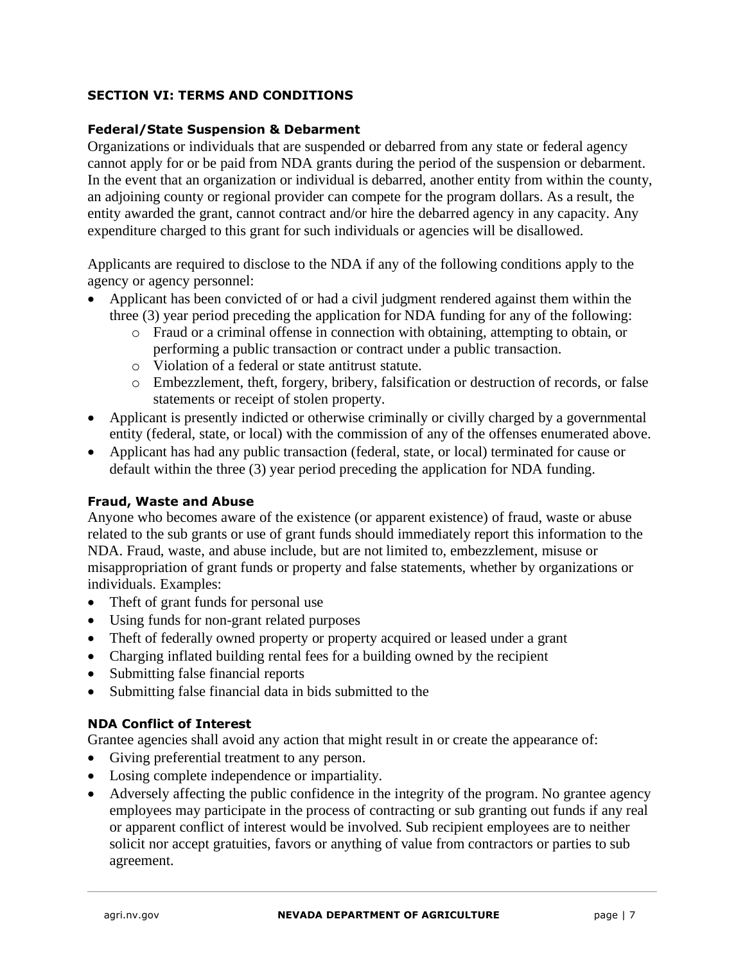### **SECTION VI: TERMS AND CONDITIONS**

### **Federal/State Suspension & Debarment**

Organizations or individuals that are suspended or debarred from any state or federal agency cannot apply for or be paid from NDA grants during the period of the suspension or debarment. In the event that an organization or individual is debarred, another entity from within the county, an adjoining county or regional provider can compete for the program dollars. As a result, the entity awarded the grant, cannot contract and/or hire the debarred agency in any capacity. Any expenditure charged to this grant for such individuals or agencies will be disallowed.

Applicants are required to disclose to the NDA if any of the following conditions apply to the agency or agency personnel:

- Applicant has been convicted of or had a civil judgment rendered against them within the three (3) year period preceding the application for NDA funding for any of the following:
	- o Fraud or a criminal offense in connection with obtaining, attempting to obtain, or performing a public transaction or contract under a public transaction.
	- o Violation of a federal or state antitrust statute.
	- o Embezzlement, theft, forgery, bribery, falsification or destruction of records, or false statements or receipt of stolen property.
- Applicant is presently indicted or otherwise criminally or civilly charged by a governmental entity (federal, state, or local) with the commission of any of the offenses enumerated above.
- Applicant has had any public transaction (federal, state, or local) terminated for cause or default within the three (3) year period preceding the application for NDA funding.

### **Fraud, Waste and Abuse**

Anyone who becomes aware of the existence (or apparent existence) of fraud, waste or abuse related to the sub grants or use of grant funds should immediately report this information to the NDA. Fraud, waste, and abuse include, but are not limited to, embezzlement, misuse or misappropriation of grant funds or property and false statements, whether by organizations or individuals. Examples:

- Theft of grant funds for personal use
- Using funds for non-grant related purposes
- Theft of federally owned property or property acquired or leased under a grant
- Charging inflated building rental fees for a building owned by the recipient
- Submitting false financial reports
- Submitting false financial data in bids submitted to the

# **NDA Conflict of Interest**

Grantee agencies shall avoid any action that might result in or create the appearance of:

- Giving preferential treatment to any person.
- Losing complete independence or impartiality.
- Adversely affecting the public confidence in the integrity of the program. No grantee agency employees may participate in the process of contracting or sub granting out funds if any real or apparent conflict of interest would be involved. Sub recipient employees are to neither solicit nor accept gratuities, favors or anything of value from contractors or parties to sub agreement.